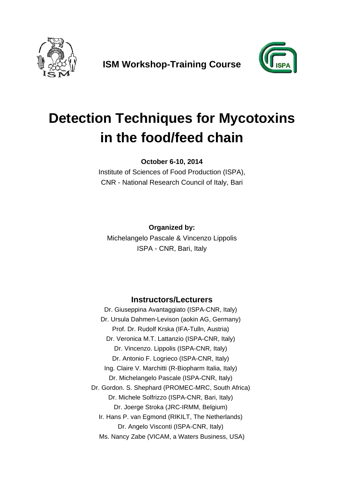

**ISM Workshop-Training Course** 



## **Detection Techniques for Mycotoxins in the food/feed chain**

**October 6-10, 2014** 

Institute of Sciences of Food Production (ISPA), CNR - National Research Council of Italy, Bari

**Organized by:**  Michelangelo Pascale & Vincenzo Lippolis ISPA - CNR, Bari, Italy

## **Instructors/Lecturers**

Dr. Giuseppina Avantaggiato (ISPA-CNR, Italy) Dr. Ursula Dahmen-Levison (aokin AG, Germany) Prof. Dr. Rudolf Krska (IFA-Tulln, Austria) Dr. Veronica M.T. Lattanzio (ISPA-CNR, Italy) Dr. Vincenzo. Lippolis (ISPA-CNR, Italy) Dr. Antonio F. Logrieco (ISPA-CNR, Italy) Ing. Claire V. Marchitti (R-Biopharm Italia, Italy) Dr. Michelangelo Pascale (ISPA-CNR, Italy) Dr. Gordon. S. Shephard (PROMEC-MRC, South Africa) Dr. Michele Solfrizzo (ISPA-CNR, Bari, Italy) Dr. Joerge Stroka (JRC-IRMM, Belgium) Ir. Hans P. van Egmond (RIKILT, The Netherlands) Dr. Angelo Visconti (ISPA-CNR, Italy) Ms. Nancy Zabe (VICAM, a Waters Business, USA)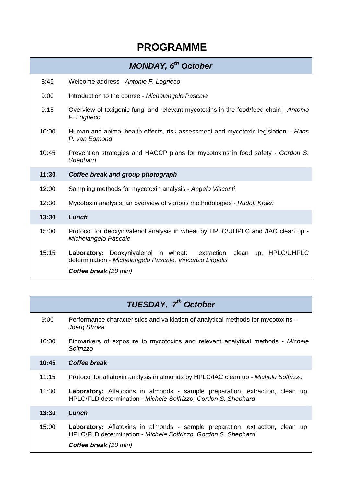## **PROGRAMME**

|       | <b>MONDAY, 6<sup>th</sup> October</b>                                                                                               |
|-------|-------------------------------------------------------------------------------------------------------------------------------------|
| 8:45  | Welcome address - Antonio F. Logrieco                                                                                               |
| 9:00  | Introduction to the course - Michelangelo Pascale                                                                                   |
| 9:15  | Overview of toxigenic fungi and relevant mycotoxins in the food/feed chain - Antonio<br>F. Logrieco                                 |
| 10:00 | Human and animal health effects, risk assessment and mycotoxin legislation - Hans<br>P. van Egmond                                  |
| 10:45 | Prevention strategies and HACCP plans for mycotoxins in food safety - Gordon S.<br>Shephard                                         |
| 11:30 | Coffee break and group photograph                                                                                                   |
| 12:00 | Sampling methods for mycotoxin analysis - Angelo Visconti                                                                           |
| 12:30 | Mycotoxin analysis: an overview of various methodologies - Rudolf Krska                                                             |
| 13:30 | Lunch                                                                                                                               |
| 15:00 | Protocol for deoxynivalenol analysis in wheat by HPLC/UHPLC and /IAC clean up -<br>Michelangelo Pascale                             |
| 15:15 | Laboratory: Deoxynivalenol in wheat:<br>extraction, clean up, HPLC/UHPLC<br>determination - Michelangelo Pascale, Vincenzo Lippolis |
|       | <b>Coffee break</b> (20 min)                                                                                                        |

|       | <b>TUESDAY, 7<sup>th</sup> October</b>                                                                                                                                                 |
|-------|----------------------------------------------------------------------------------------------------------------------------------------------------------------------------------------|
| 9:00  | Performance characteristics and validation of analytical methods for mycotoxins -<br>Joerg Stroka                                                                                      |
| 10:00 | Biomarkers of exposure to mycotoxins and relevant analytical methods - Michele<br>Solfrizzo                                                                                            |
| 10:45 | Coffee break                                                                                                                                                                           |
| 11:15 | Protocol for aflatoxin analysis in almonds by HPLC/IAC clean up - Michele Solfrizzo                                                                                                    |
| 11:30 | <b>Laboratory:</b> Aflatoxins in almonds - sample preparation, extraction, clean up,<br>HPLC/FLD determination - Michele Solfrizzo, Gordon S. Shephard                                 |
| 13:30 | Lunch                                                                                                                                                                                  |
| 15:00 | <b>Laboratory:</b> Aflatoxins in almonds - sample preparation, extraction, clean up,<br>HPLC/FLD determination - Michele Solfrizzo, Gordon S. Shephard<br><b>Coffee break</b> (20 min) |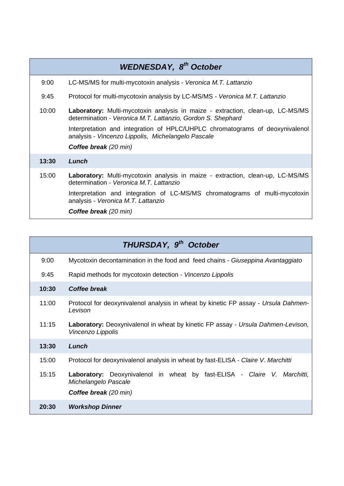|       | <b>WEDNESDAY, 8th October</b>                                                                                                                        |
|-------|------------------------------------------------------------------------------------------------------------------------------------------------------|
| 9:00  | LC-MS/MS for multi-mycotoxin analysis - Veronica M.T. Lattanzio                                                                                      |
| 9:45  | Protocol for multi-mycotoxin analysis by LC-MS/MS - Veronica M.T. Lattanzio                                                                          |
| 10:00 | <b>Laboratory:</b> Multi-mycotoxin analysis in maize - extraction, clean-up, LC-MS/MS<br>determination - Veronica M.T. Lattanzio, Gordon S. Shephard |
|       | Interpretation and integration of HPLC/UHPLC chromatograms of deoxynivalenol<br>analysis - Vincenzo Lippolis, Michelangelo Pascale                   |
|       | <b>Coffee break</b> (20 min)                                                                                                                         |
| 13:30 | Lunch                                                                                                                                                |
| 15:00 | <b>Laboratory:</b> Multi-mycotoxin analysis in maize - extraction, clean-up, LC-MS/MS<br>determination - Veronica M.T. Lattanzio                     |
|       | Interpretation and integration of LC-MS/MS chromatograms of multi-mycotoxin<br>analysis - Veronica M.T. Lattanzio                                    |
|       | <b>Coffee break</b> (20 min)                                                                                                                         |

|       | THURSDAY, 9 <sup>th</sup> October                                                                                                |
|-------|----------------------------------------------------------------------------------------------------------------------------------|
| 9:00  | Mycotoxin decontamination in the food and feed chains - Giuseppina Avantaggiato                                                  |
| 9:45  | Rapid methods for mycotoxin detection - Vincenzo Lippolis                                                                        |
| 10:30 | Coffee break                                                                                                                     |
| 11:00 | Protocol for deoxynivalenol analysis in wheat by kinetic FP assay - Ursula Dahmen-<br>Levison                                    |
| 11:15 | <b>Laboratory:</b> Deoxynivalenol in wheat by kinetic FP assay - Ursula Dahmen-Levison,<br>Vincenzo Lippolis                     |
| 13:30 | Lunch                                                                                                                            |
| 15:00 | Protocol for deoxynivalenol analysis in wheat by fast-ELISA - Claire V. Marchitti                                                |
| 15:15 | Laboratory: Deoxynivalenol in wheat by fast-ELISA - Claire V. Marchitti,<br>Michelangelo Pascale<br><b>Coffee break</b> (20 min) |
| 20:30 | <b>Workshop Dinner</b>                                                                                                           |